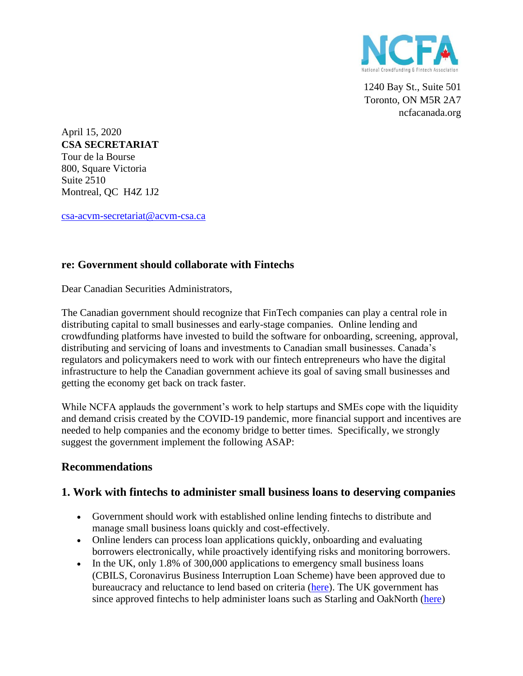

1240 Bay St., Suite 501 Toronto, ON M5R 2A7 ncfacanada.org

April 15, 2020 **CSA SECRETARIAT** Tour de la Bourse 800, Square Victoria Suite 2510 Montreal, QC H4Z 1J2

[csa-acvm-secretariat@acvm-csa.ca](mailto:csa-acvm-secretariat@acvm-csa.ca?subject=Contact%20Us%20-%20Information)

# **re: Government should collaborate with Fintechs**

Dear Canadian Securities Administrators,

The Canadian government should recognize that FinTech companies can play a central role in distributing capital to small businesses and early-stage companies. Online lending and crowdfunding platforms have invested to build the software for onboarding, screening, approval, distributing and servicing of loans and investments to Canadian small businesses. Canada's regulators and policymakers need to work with our fintech entrepreneurs who have the digital infrastructure to help the Canadian government achieve its goal of saving small businesses and getting the economy get back on track faster.

While NCFA applauds the government's work to help startups and SMEs cope with the liquidity and demand crisis created by the COVID-19 pandemic, more financial support and incentives are needed to help companies and the economy bridge to better times. Specifically, we strongly suggest the government implement the following ASAP:

# **Recommendations**

# **1. Work with fintechs to administer small business loans to deserving companies**

- Government should work with established online lending fintechs to distribute and manage small business loans quickly and cost-effectively.
- Online lenders can process loan applications quickly, onboarding and evaluating borrowers electronically, while proactively identifying risks and monitoring borrowers.
- In the UK, only 1.8% of 300,000 applications to emergency small business loans (CBILS, Coronavirus Business Interruption Loan Scheme) have been approved due to bureaucracy and reluctance to lend based on criteria [\(here\)](https://www.theguardian.com/world/2020/apr/12/applicants-uk-coronavirus-business-loan-cbils). The UK government has since approved fintechs to help administer loans such as Starling and OakNorth [\(here\)](https://www.fintechfutures.com/2020/04/four-new-uk-lenders-get-approved-to-issue-coronavirus-business-loans/)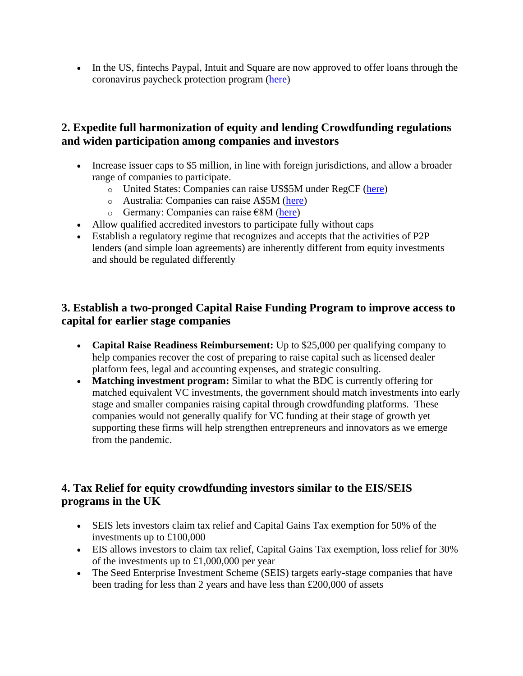• In the US, fintechs Paypal, Intuit and Square are now approved to offer loans through the coronavirus paycheck protection program [\(here\)](https://techcrunch.com/2020/04/13/paypal-intuit-square-approved-to-offer-loans-to-small-businesses-through-coronavirus-relief-program/)

# **2. Expedite full harmonization of equity and lending Crowdfunding regulations and widen participation among companies and investors**

- Increase issuer caps to \$5 million, in line with foreign jurisdictions, and allow a broader range of companies to participate.
	- o United States: Companies can raise US\$5M under RegCF [\(here\)](https://www.sec.gov/news/press-release/2020-55)
	- o Australia: Companies can raise A\$5M [\(here\)](https://ncfacanada.org/5-million-equity-crowdfunding-extended-to-private-companies/)
	- o Germany: Companies can raise  $\epsilon$ 8M [\(here\)](https://www.crowdfundinsider.com/2018/07/135781-uk-government-ups-crowdfunding-without-prospectus-to-e8-million-matching-germany/)
- Allow qualified accredited investors to participate fully without caps
- Establish a regulatory regime that recognizes and accepts that the activities of P2P lenders (and simple loan agreements) are inherently different from equity investments and should be regulated differently

# **3. Establish a two-pronged Capital Raise Funding Program to improve access to capital for earlier stage companies**

- **Capital Raise Readiness Reimbursement:** Up to \$25,000 per qualifying company to help companies recover the cost of preparing to raise capital such as licensed dealer platform fees, legal and accounting expenses, and strategic consulting.
- **Matching investment program:** Similar to what the BDC is currently offering for matched equivalent VC investments, the government should match investments into early stage and smaller companies raising capital through crowdfunding platforms. These companies would not generally qualify for VC funding at their stage of growth yet supporting these firms will help strengthen entrepreneurs and innovators as we emerge from the pandemic.

# **4. Tax Relief for equity crowdfunding investors similar to the EIS/SEIS programs in the UK**

- SEIS lets investors claim tax relief and Capital Gains Tax exemption for 50% of the investments up to £100,000
- EIS allows investors to claim tax relief, Capital Gains Tax exemption, loss relief for 30% of the investments up to £1,000,000 per year
- The Seed Enterprise Investment Scheme (SEIS) targets early-stage companies that have been trading for less than 2 years and have less than £200,000 of assets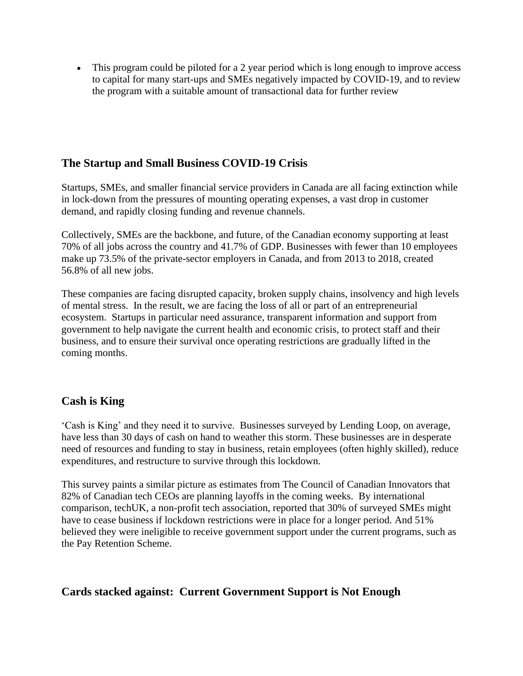• This program could be piloted for a 2 year period which is long enough to improve access to capital for many start-ups and SMEs negatively impacted by COVID-19, and to review the program with a suitable amount of transactional data for further review

# **The Startup and Small Business COVID-19 Crisis**

Startups, SMEs, and smaller financial service providers in Canada are all facing extinction while in lock-down from the pressures of mounting operating expenses, a vast drop in customer demand, and rapidly closing funding and revenue channels.

Collectively, SMEs are the backbone, and future, of the Canadian economy supporting at least 70% of all jobs across the country and 41.7% of GDP. Businesses with fewer than 10 employees make up 73.5% of the private-sector employers in Canada, and from 2013 to 2018, created 56.8% of all new jobs.

These companies are facing disrupted capacity, broken supply chains, insolvency and high levels of mental stress. In the result, we are facing the loss of all or part of an entrepreneurial ecosystem. Startups in particular need assurance, transparent information and support from government to help navigate the current health and economic crisis, to protect staff and their business, and to ensure their survival once operating restrictions are gradually lifted in the coming months.

# **Cash is King**

'Cash is King' and they need it to survive. Businesses surveyed by Lending Loop, on average, have less than 30 days of cash on hand to weather this storm. These businesses are in desperate need of resources and funding to stay in business, retain employees (often highly skilled), reduce expenditures, and restructure to survive through this lockdown.

This survey paints a similar picture as estimates from The Council of Canadian Innovators that 82% of Canadian tech CEOs are planning layoffs in the coming weeks. By international comparison, techUK, a non-profit tech association, reported that 30% of surveyed SMEs might have to cease business if lockdown restrictions were in place for a longer period. And 51% believed they were ineligible to receive government support under the current programs, such as the Pay Retention Scheme.

# **Cards stacked against: Current Government Support is Not Enough**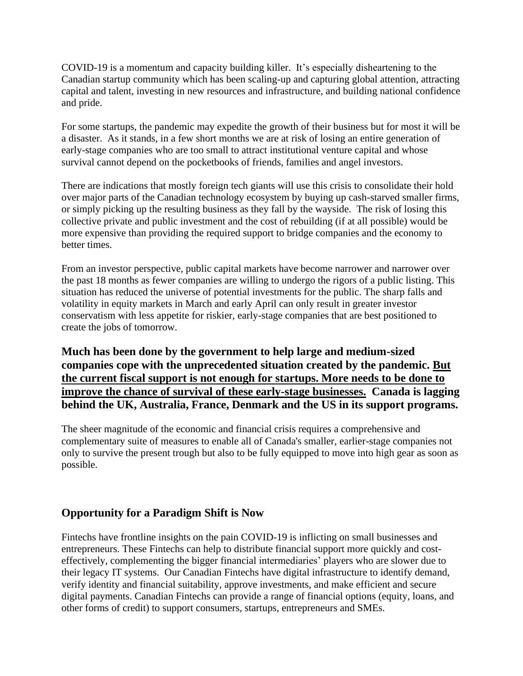COVID-19 is a momentum and capacity building killer. It's especially disheartening to the Canadian startup community which has been scaling-up and capturing global attention, attracting capital and talent, investing in new resources and infrastructure, and building national confidence and pride.

For some startups, the pandemic may expedite the growth of their business but for most it will be a disaster. As it stands, in a few short months we are at risk of losing an entire generation of early-stage companies who are too small to attract institutional venture capital and whose survival cannot depend on the pocketbooks of friends, families and angel investors.

There are indications that mostly foreign tech giants will use this crisis to consolidate their hold over major parts of the Canadian technology ecosystem by buying up cash-starved smaller firms, or simply picking up the resulting business as they fall by the wayside. The risk of losing this collective private and public investment and the cost of rebuilding (if at all possible) would be more expensive than providing the required support to bridge companies and the economy to better times.

From an investor perspective, public capital markets have become narrower and narrower over the past 18 months as fewer companies are willing to undergo the rigors of a public listing. This situation has reduced the universe of potential investments for the public. The sharp falls and volatility in equity markets in March and early April can only result in greater investor conservatism with less appetite for riskier, early-stage companies that are best positioned to create the jobs of tomorrow.

**Much has been done by the government to help large and medium-sized companies cope with the unprecedented situation created by the pandemic. But the current fiscal support is not enough for startups. More needs to be done to improve the chance of survival of these early-stage businesses. Canada is lagging behind the UK, Australia, France, Denmark and the US in its support programs.**

The sheer magnitude of the economic and financial crisis requires a comprehensive and complementary suite of measures to enable all of Canada's smaller, earlier-stage companies not only to survive the present trough but also to be fully equipped to move into high gear as soon as possible.

# **Opportunity for a Paradigm Shift is Now**

Fintechs have frontline insights on the pain COVID-19 is inflicting on small businesses and entrepreneurs. These Fintechs can help to distribute financial support more quickly and costeffectively, complementing the bigger financial intermediaries' players who are slower due to their legacy IT systems. Our Canadian Fintechs have digital infrastructure to identify demand, verify identity and financial suitability, approve investments, and make efficient and secure digital payments. Canadian Fintechs can provide a range of financial options (equity, loans, and other forms of credit) to support consumers, startups, entrepreneurs and SMEs.